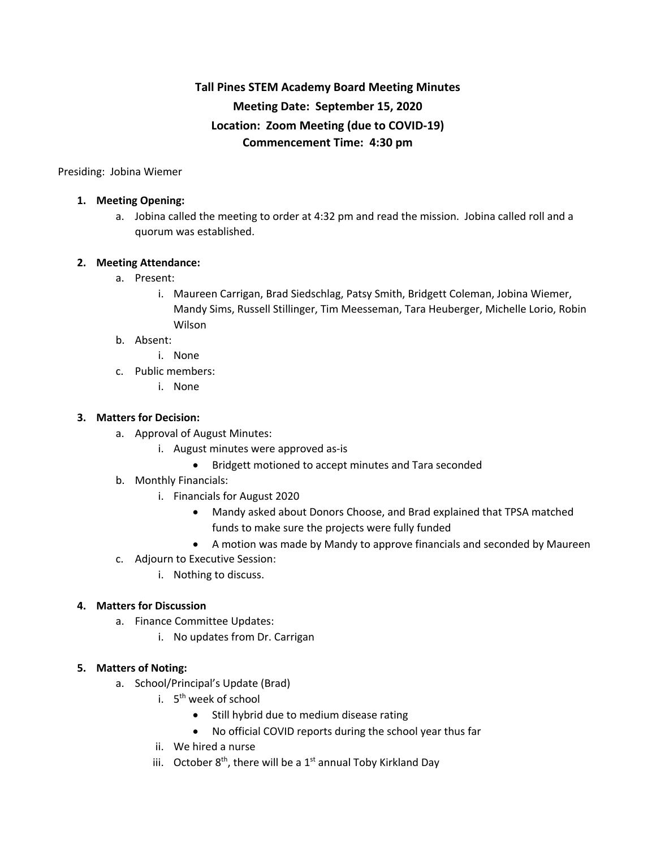# **Tall Pines STEM Academy Board Meeting Minutes Meeting Date: September 15, 2020 Location: Zoom Meeting (due to COVID-19) Commencement Time: 4:30 pm**

Presiding: Jobina Wiemer

### **1. Meeting Opening:**

a. Jobina called the meeting to order at 4:32 pm and read the mission. Jobina called roll and a quorum was established.

### **2. Meeting Attendance:**

- a. Present:
	- i. Maureen Carrigan, Brad Siedschlag, Patsy Smith, Bridgett Coleman, Jobina Wiemer, Mandy Sims, Russell Stillinger, Tim Meesseman, Tara Heuberger, Michelle Lorio, Robin Wilson

#### b. Absent:

- i. None
- c. Public members:
	- i. None

#### **3. Matters for Decision:**

- a. Approval of August Minutes:
	- i. August minutes were approved as-is
		- Bridgett motioned to accept minutes and Tara seconded
- b. Monthly Financials:
	- i. Financials for August 2020
		- Mandy asked about Donors Choose, and Brad explained that TPSA matched funds to make sure the projects were fully funded
		- A motion was made by Mandy to approve financials and seconded by Maureen
- c. Adjourn to Executive Session:
	- i. Nothing to discuss.

### **4. Matters for Discussion**

- a. Finance Committee Updates:
	- i. No updates from Dr. Carrigan

#### **5. Matters of Noting:**

- a. School/Principal's Update (Brad)
	- i. 5<sup>th</sup> week of school
		- Still hybrid due to medium disease rating
		- No official COVID reports during the school year thus far
	- ii. We hired a nurse
	- iii. October  $8<sup>th</sup>$ , there will be a  $1<sup>st</sup>$  annual Toby Kirkland Day